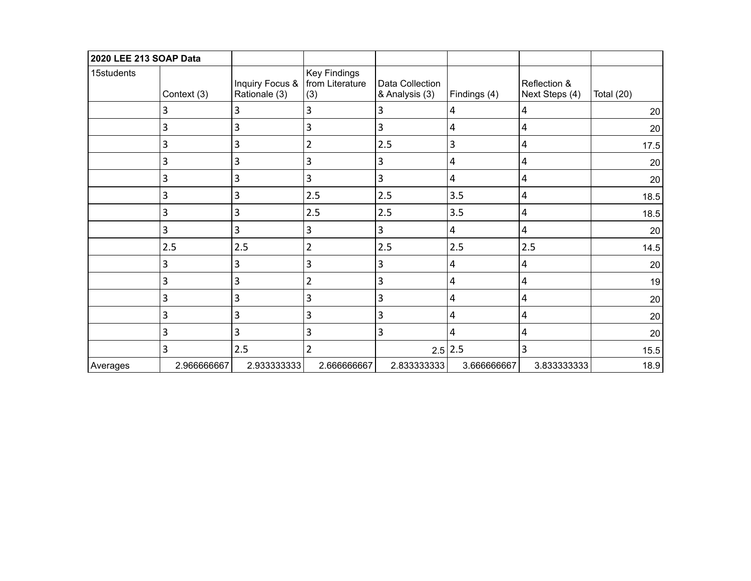| 2020 LEE 213 SOAP Data |             |                                                    |                            |                                   |                |                                |              |
|------------------------|-------------|----------------------------------------------------|----------------------------|-----------------------------------|----------------|--------------------------------|--------------|
| 15students             | Context (3) | Inquiry Focus &   from Literature<br>Rationale (3) | <b>Key Findings</b><br>(3) | Data Collection<br>& Analysis (3) | Findings (4)   | Reflection &<br>Next Steps (4) | Total $(20)$ |
|                        | 3           | 3                                                  | 3                          | 3                                 | 4              | 4                              | 20           |
|                        | 3           | 3                                                  | 3                          | 3                                 | 4              | 4                              | 20           |
|                        | 3           | 3                                                  | $\overline{2}$             | 2.5                               | $\mathbf{3}$   | 4                              | 17.5         |
|                        | 3           | 3                                                  | 3                          | 3                                 | 4              | 4                              | 20           |
|                        | 3           | 3                                                  | 3                          | 3                                 | 4              | 4                              | 20           |
|                        | 3           | 3                                                  | 2.5                        | 2.5                               | 3.5            | 4                              | 18.5         |
|                        | 3           | 3                                                  | 2.5                        | 2.5                               | 3.5            | 4                              | 18.5         |
|                        | 3           | 3                                                  | 3                          | 3                                 | $\overline{4}$ | 4                              | 20           |
|                        | 2.5         | 2.5                                                | $\overline{2}$             | 2.5                               | 2.5            | 2.5                            | 14.5         |
|                        | 3           | 3                                                  | $\mathbf{3}$               | $\overline{3}$                    | 4              | 4                              | 20           |
|                        | 3           | 3                                                  | $\overline{2}$             | 3                                 | 4              | 4                              | 19           |
|                        | 3           | 3                                                  | 3                          | 3                                 | 4              | 4                              | 20           |
|                        | 3           | 3                                                  | 3                          | 3                                 | 4              | 4                              | 20           |
|                        | 3           | 3                                                  | 3                          | 3                                 | 4              | 4                              | 20           |
|                        | 3           | 2.5                                                | $\overline{2}$             |                                   | $2.5$   2.5    | 3                              | 15.5         |
| Averages               | 2.966666667 | 2.933333333                                        | 2.666666667                | 2.833333333                       | 3.666666667    | 3.833333333                    | 18.9         |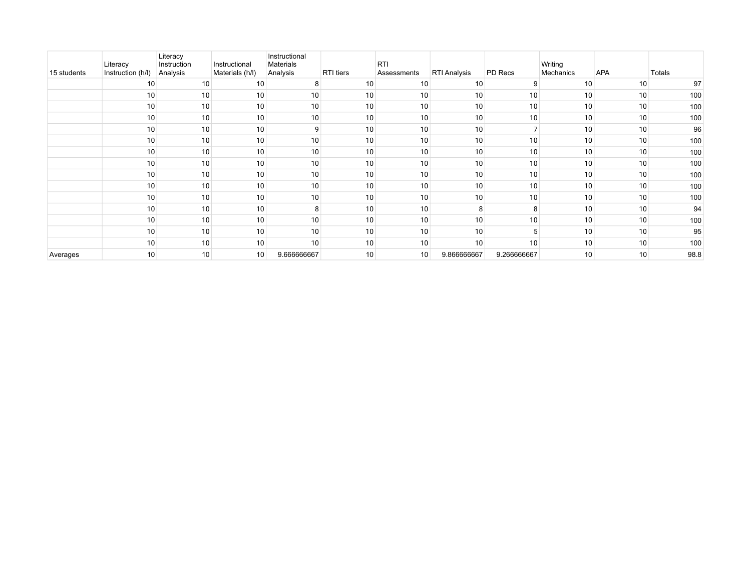| 15 students | Literacy<br>Instruction (h/l) | Literacy<br>Instruction<br>Analysis | Instructional<br>Materials (h/l) | Instructional<br>Materials<br>Analysis | RTI tiers | <b>RTI</b><br>Assessments | RTI Analysis | PD Recs        | Writing<br>Mechanics | APA | Totals |
|-------------|-------------------------------|-------------------------------------|----------------------------------|----------------------------------------|-----------|---------------------------|--------------|----------------|----------------------|-----|--------|
|             | 10                            | 10                                  | 10                               | 8                                      | 10        | 10                        | 10           | 9              | 10                   | 10  | 97     |
|             | 10                            | 10                                  | 10                               | 10                                     | 10        | 10                        | 10           | 10             | 10                   | 10  | 100    |
|             | 10                            | 10                                  | 10                               | 10                                     | 10        | 10                        | 10           | 10             | 10                   | 10  | 100    |
|             | 10                            | 10                                  | 10                               | 10                                     | 10        | 10                        | 10           | 10             | 10                   | 10  | 100    |
|             | 10                            | 10                                  | 10                               | 9                                      | 10        | 10                        | 10           | $\overline{ }$ | 10                   | 10  | 96     |
|             | 10                            | 10                                  | 10                               | 10                                     | 10        | 10                        | 10           | 10             | 10                   | 10  | 100    |
|             | 10                            | 10                                  | 10                               | 10                                     | 10        | 10                        | 10           | 10             | 10                   | 10  | 100    |
|             | 10                            | 10                                  | 10                               | 10                                     | 10        | 10                        | 10           | 10             | 10                   | 10  | 100    |
|             | 10                            | 10                                  | 10                               | 10                                     | 10        | 10                        | 10           | 10             | 10                   | 10  | 100    |
|             | 10                            | 10                                  | 10                               | 10                                     | 10        | 10                        | 10           | 10             | 10                   | 10  | 100    |
|             | 10                            | 10                                  | 10                               | 10                                     | 10        | 10                        | 10           | 10             | 10                   | 10  | 100    |
|             | 10                            | 10                                  | 10                               | 8                                      | 10        | 10                        |              | 8              | 10                   | 10  | 94     |
|             | 10                            | 10                                  | 10                               | 10                                     | 10        | 10                        | 10           | 10             | 10                   | 10  | 100    |
|             | 10                            | 10                                  | 10                               | 10                                     | 10        | 10                        | 10           | 5              | 10                   | 10  | 95     |
|             | 10                            | 10                                  | 10                               | 10                                     | 10        | 10                        | 10           | 10             | 10                   | 10  | 100    |
| Averages    | 10                            | 10                                  | 10                               | 9.666666667                            | 10        | 10                        | 9.866666667  | 9.266666667    | 10                   | 10  | 98.8   |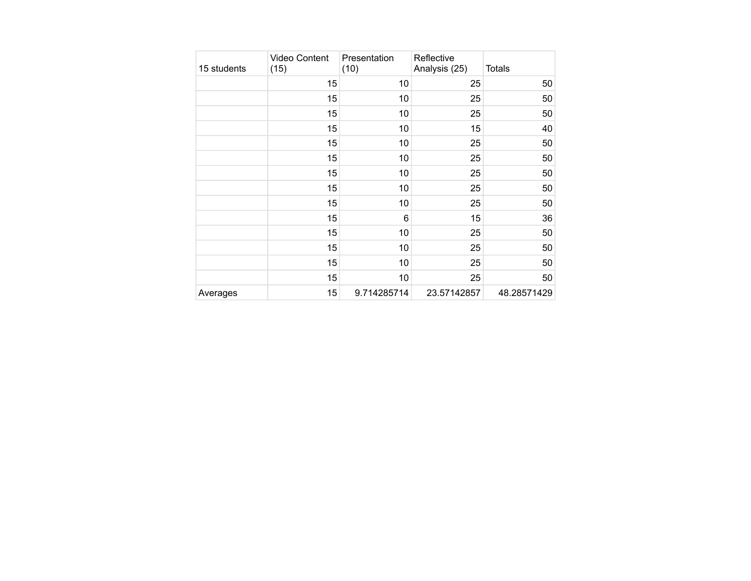| 15 students | <b>Video Content</b><br>(15) | Presentation<br>(10) | Reflective<br>Analysis (25) | <b>Totals</b> |
|-------------|------------------------------|----------------------|-----------------------------|---------------|
|             | 15                           | 10                   | 25                          | 50            |
|             | 15                           | 10                   | 25                          | 50            |
|             | 15                           | 10                   | 25                          | 50            |
|             | 15                           | 10                   | 15                          | 40            |
|             | 15                           | 10                   | 25                          | 50            |
|             | 15                           | 10                   | 25                          | 50            |
|             | 15                           | 10                   | 25                          | 50            |
|             | 15                           | 10                   | 25                          | 50            |
|             | 15                           | 10                   | 25                          | 50            |
|             | 15                           | 6                    | 15                          | 36            |
|             | 15                           | 10                   | 25                          | 50            |
|             | 15                           | 10                   | 25                          | 50            |
|             | 15                           | 10                   | 25                          | 50            |
|             | 15                           | 10                   | 25                          | 50            |
| Averages    | 15                           | 9.714285714          | 23.57142857                 | 48.28571429   |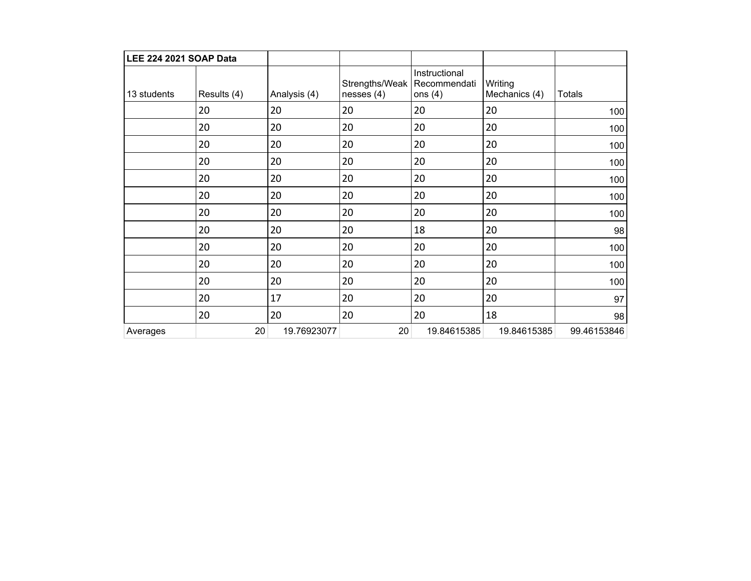| LEE 224 2021 SOAP Data |             |              |                                               |                            |                          |               |
|------------------------|-------------|--------------|-----------------------------------------------|----------------------------|--------------------------|---------------|
| 13 students            | Results (4) | Analysis (4) | Strengths/Weak   Recommendati<br>nesses $(4)$ | Instructional<br>ons $(4)$ | Writing<br>Mechanics (4) | <b>Totals</b> |
|                        | 20          | 20           | 20                                            | 20                         | 20                       | 100           |
|                        | 20          | 20           | 20                                            | 20                         | 20                       | 100           |
|                        | 20          | 20           | 20                                            | 20                         | 20                       | 100           |
|                        | 20          | 20           | 20                                            | 20                         | 20                       | 100           |
|                        | 20          | 20           | 20                                            | 20                         | 20                       | 100           |
|                        | 20          | 20           | 20                                            | 20                         | 20                       | 100           |
|                        | 20          | 20           | 20                                            | 20                         | 20                       | 100           |
|                        | 20          | 20           | 20                                            | 18                         | 20                       | 98            |
|                        | 20          | 20           | 20                                            | 20                         | 20                       | 100           |
|                        | 20          | 20           | 20                                            | 20                         | 20                       | 100           |
|                        | 20          | 20           | 20                                            | 20                         | 20                       | 100           |
|                        | 20          | 17           | 20                                            | 20                         | 20                       | 97            |
|                        | 20          | 20           | 20                                            | 20                         | 18                       | 98            |
| Averages               | 20          | 19.76923077  | 20                                            | 19.84615385                | 19.84615385              | 99.46153846   |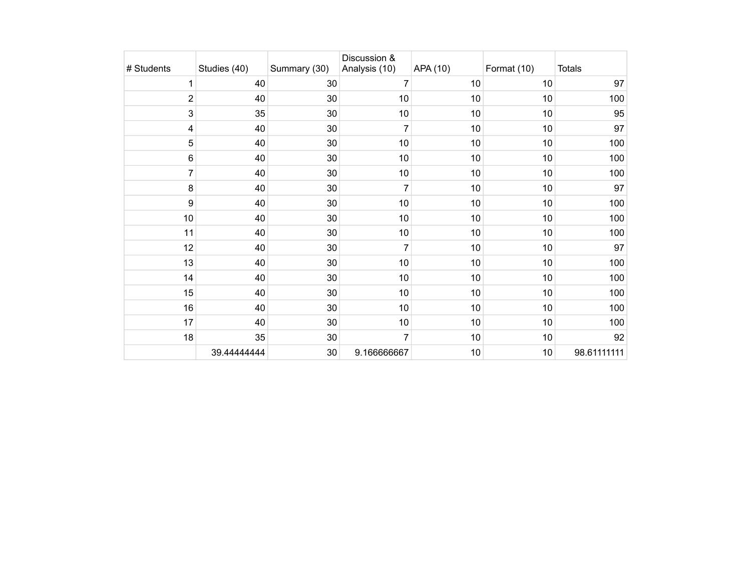| # Students     | Studies (40) | Summary (30) | Discussion &<br>Analysis (10) | APA (10) | Format (10) | Totals      |
|----------------|--------------|--------------|-------------------------------|----------|-------------|-------------|
| $\mathbf 1$    | 40           | 30           | 7                             | 10       | 10          | 97          |
| $\mathbf 2$    | 40           | 30           | 10                            | 10       | 10          | 100         |
| $\mathsf 3$    | 35           | 30           | 10                            | 10       | 10          | 95          |
| 4              | 40           | 30           | 7                             | 10       | 10          | 97          |
| $\sqrt{5}$     | 40           | 30           | $10$                          | 10       | 10          | 100         |
| 6              | 40           | 30           | 10                            | 10       | 10          | 100         |
| $\overline{7}$ | 40           | 30           | $10$                          | 10       | 10          | 100         |
| 8              | 40           | 30           | 7                             | 10       | 10          | 97          |
| 9              | 40           | 30           | 10                            | 10       | 10          | 100         |
| 10             | 40           | 30           | 10                            | 10       | 10          | 100         |
| 11             | 40           | 30           | 10                            | 10       | 10          | 100         |
| 12             | 40           | 30           | $\overline{7}$                | 10       | 10          | 97          |
| 13             | 40           | 30           | 10                            | 10       | 10          | 100         |
| 14             | 40           | 30           | 10                            | 10       | 10          | 100         |
| 15             | 40           | 30           | 10                            | 10       | 10          | 100         |
| 16             | 40           | 30           | 10                            | 10       | 10          | 100         |
| 17             | 40           | 30           | 10                            | 10       | 10          | 100         |
| 18             | 35           | 30           | 7                             | 10       | 10          | 92          |
|                | 39.44444444  | 30           | 9.166666667                   | 10       | 10          | 98.61111111 |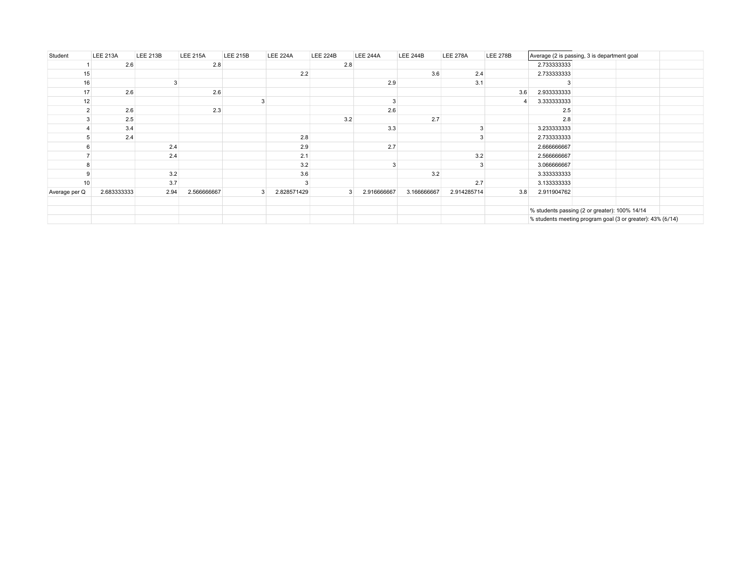| Student        | <b>LEE 213A</b> | <b>LEE 213B</b> | <b>LEE 215A</b> | <b>LEE 215B</b> | <b>LEE 224A</b> | <b>LEE 224B</b> | <b>LEE 244A</b> | <b>LEE 244B</b> | <b>LEE 278A</b> | <b>LEE 278B</b> |             | Average (2 is passing, 3 is department goal                |  |
|----------------|-----------------|-----------------|-----------------|-----------------|-----------------|-----------------|-----------------|-----------------|-----------------|-----------------|-------------|------------------------------------------------------------|--|
|                | 2.6             |                 | 2.8             |                 |                 | 2.8             |                 |                 |                 |                 | 2.733333333 |                                                            |  |
| 15             |                 |                 |                 |                 | 2.2             |                 |                 | 3.6             | 2.4             |                 | 2.733333333 |                                                            |  |
| 16             |                 |                 |                 |                 |                 |                 | 2.9             |                 | 3.1             |                 |             |                                                            |  |
| 17             | 2.6             |                 | 2.6             |                 |                 |                 |                 |                 |                 | 3.6             | 2.933333333 |                                                            |  |
| 12             |                 |                 |                 |                 |                 |                 |                 |                 |                 | 4               | 3.333333333 |                                                            |  |
| $\overline{2}$ | 2.6             |                 | 2.3             |                 |                 |                 | 2.6             |                 |                 |                 | 2.5         |                                                            |  |
|                | 2.5             |                 |                 |                 |                 | 3.2             |                 | 2.7             |                 |                 | 2.8         |                                                            |  |
|                | 3.4             |                 |                 |                 |                 |                 | 3.3             |                 |                 |                 | 3.233333333 |                                                            |  |
|                | 2.4             |                 |                 |                 | 2.8             |                 |                 |                 |                 |                 | 2.733333333 |                                                            |  |
|                |                 | 2.4             |                 |                 | 2.9             |                 | 2.7             |                 |                 |                 | 2.666666667 |                                                            |  |
|                |                 | 2.4             |                 |                 | 2.1             |                 |                 |                 | 3.2             |                 | 2.566666667 |                                                            |  |
|                |                 |                 |                 |                 | 3.2             |                 |                 |                 |                 |                 | 3.066666667 |                                                            |  |
|                |                 | 3.2             |                 |                 | 3.6             |                 |                 | 3.2             |                 |                 | 3.333333333 |                                                            |  |
| 10             |                 | 3.7             |                 |                 |                 |                 |                 |                 | 2.7             |                 | 3.133333333 |                                                            |  |
| Average per Q  | 2.683333333     | 2.94            | 2.566666667     | 3               | 2.828571429     | 3               | 2.916666667     | 3.166666667     | 2.914285714     | 3.8             | 2.911904762 |                                                            |  |
|                |                 |                 |                 |                 |                 |                 |                 |                 |                 |                 |             |                                                            |  |
|                |                 |                 |                 |                 |                 |                 |                 |                 |                 |                 |             | % students passing (2 or greater): 100% 14/14              |  |
|                |                 |                 |                 |                 |                 |                 |                 |                 |                 |                 |             | % students meeting program goal (3 or greater): 43% (6/14) |  |